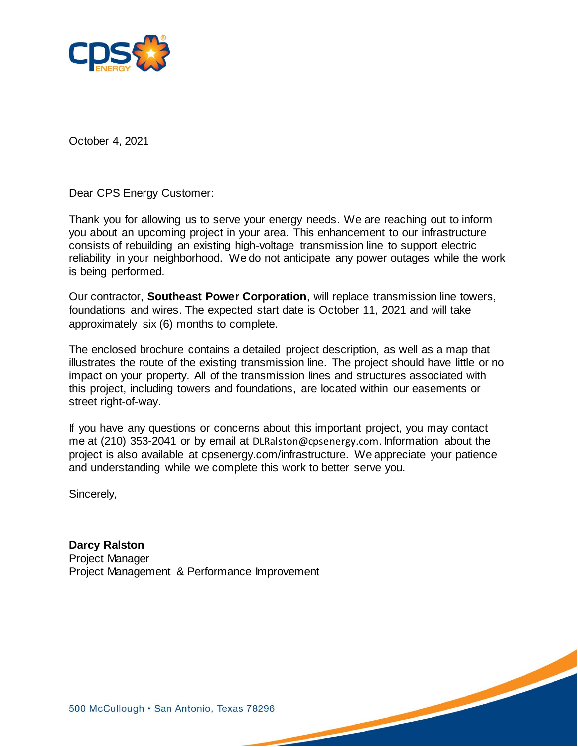

October 4, 2021

Dear CPS Energy Customer:

Thank you for allowing us to serve your energy needs. We are reaching out to inform you about an upcoming project in your area. This enhancement to our infrastructure consists of rebuilding an existing high-voltage transmission line to support electric reliability in your neighborhood. We do not anticipate any power outages while the work is being performed.

Our contractor, **Southeast Power Corporation**, will replace transmission line towers, foundations and wires. The expected start date is October 11, 2021 and will take approximately six (6) months to complete.

The enclosed brochure contains a detailed project description, as well as a map that illustrates the route of the existing transmission line. The project should have little or no impact on your property. All of the transmission lines and structures associated with this project, including towers and foundations, are located within our easements or street right-of-way.

If you have any questions or concerns about this important project, you may contact me at (210) 353-2041 or by email at DLRalston@cpsenergy.com. Information about the project is also available at cpsenergy.com/infrastructure. We appreciate your patience and understanding while we complete this work to better serve you.

Sincerely,

**Darcy Ralston** Project Manager Project Management & Performance Improvement